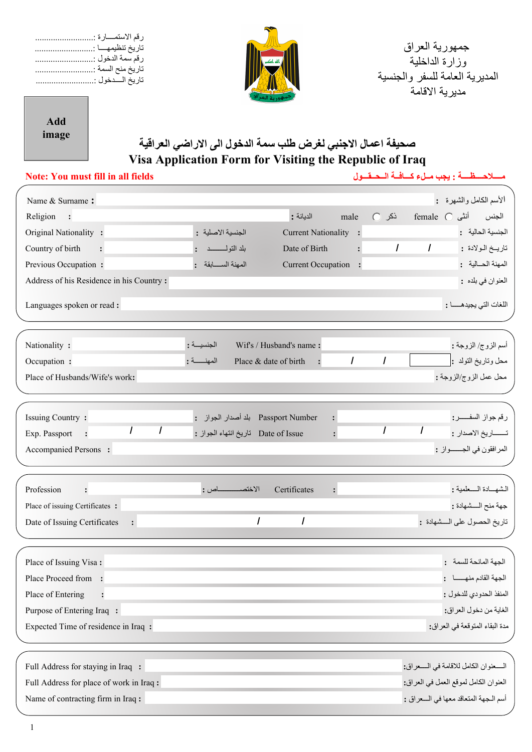| رقم الاستمــــارة :<br>تاريخ تنظيمهــــا :<br>رقم سمة الدخول :<br>تاريخ منح السمة :<br>تاريخ السدخول :<br><b>Add</b><br>image | صحيفة اعمال الاجنبي لغرض طلب سمة الدخول الى الاراضى العراقية                                | جمهورية العراق<br>وزارة الداخلية<br>المديرية العامة للسفر والجنسية<br>مدير ية الاقامة                                                           |
|-------------------------------------------------------------------------------------------------------------------------------|---------------------------------------------------------------------------------------------|-------------------------------------------------------------------------------------------------------------------------------------------------|
|                                                                                                                               | Visa Application Form for Visiting the Republic of Iraq                                     |                                                                                                                                                 |
| <b>Note: You must fill in all fields</b>                                                                                      |                                                                                             | مسلاحه ظه : يجب ملء كافية الحقول                                                                                                                |
| Name & Surname:                                                                                                               |                                                                                             | الأسم الكامل والشهرة :                                                                                                                          |
| Religion<br>$\overline{\phantom{a}}$ :                                                                                        | الديانة :<br>male                                                                           | الجنس أنثى female ○<br>$C$ نكر                                                                                                                  |
| Original Nationality:                                                                                                         | Current Nationality :<br>الجنسية الاصلية :                                                  | الجنسية الحالية :                                                                                                                               |
| Country of birth<br>$\ddot{\cdot}$                                                                                            | بلد النولـــــــــد:<br>Date of Birth                                                       | تاريــخ الـولادة : ٧ ] [٣] [<br>$\mathcal{I}$<br>$\ddot{\phantom{a}}$                                                                           |
| Previous Occupation:                                                                                                          | المهنة السابقة:<br>Current Occupation :                                                     | المهنة الحسالية:                                                                                                                                |
| Address of his Residence in his Country:                                                                                      |                                                                                             | العنوان في بلده :                                                                                                                               |
| Languages spoken or read:                                                                                                     |                                                                                             | اللغات التي يجيدهـــــا :                                                                                                                       |
| Nationality :<br>Occupation :<br>Place of Husbands/Wife's work:                                                               | Wif's / Husband's name:<br>الجنسيسة :<br>المهنهة:<br>Place & date of birth                  | أسم الزوج/ الزوجة :<br>$\vert \textcolor{red}{\textbf{-}} \vert$<br>$ \mathbf{v} $<br>محل وتاريخ التولد :<br>$\prime$<br>محل عمل الزوج/الزوجة : |
| <b>Issuing Country:</b><br>$\vert \mathbf{v} \vert$ /<br>Exp. Passport<br>Accompanied Persons :                               | : بلد أصدار الجواز Passport Number<br>Date of Issue تاريخ انتهاء الجواز :<br>$\ddot{\cdot}$ | رقم جواز السفـــــــر:<br>$\lceil - \rceil$ /<br>تــــــاريخ الاصدار : 1<br>المرافقون في الجــــواز :                                           |
| Profession<br>$\ddot{\cdot}$                                                                                                  | Certificates<br>$\ddot{\cdot}$                                                              | الشهسادة السعلمية :                                                                                                                             |
| Place of issuing Certificates:                                                                                                |                                                                                             | جهة منح السشهادة :                                                                                                                              |
| Date of Issuing Certificates<br>$\ddot{\bullet}$                                                                              | $\mathbf{r}$ /<br>$\mathbf{r}$<br>$\prime$                                                  | تاريخ الحصول على السشهادة :                                                                                                                     |
| Place of Issuing Visa:                                                                                                        |                                                                                             | الجهة المانحة للسمة:                                                                                                                            |
| Place Proceed from :                                                                                                          |                                                                                             | الجهة القادم منهسا:                                                                                                                             |
| Place of Entering                                                                                                             |                                                                                             | المنفذ الحدودي للدخول :                                                                                                                         |
| Purpose of Entering Iraq :                                                                                                    |                                                                                             | الغاية من دخول العراق:                                                                                                                          |
| Expected Time of residence in Iraq:                                                                                           |                                                                                             | مدة البقاء المتوقعة في العراق:                                                                                                                  |
| Full Address for staying in Iraq :                                                                                            |                                                                                             | السـعنوان الكامل للاقامة في السـعراق:                                                                                                           |
| Full Address for place of work in Iraq:                                                                                       |                                                                                             | العنوان الكامل لموقع العمل في العراق:                                                                                                           |
| Name of contracting firm in Iraq:                                                                                             |                                                                                             | أسم الجهة المتعاقد معها في السعراق :                                                                                                            |